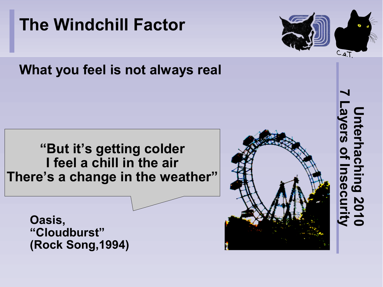

**The Windchill Factor**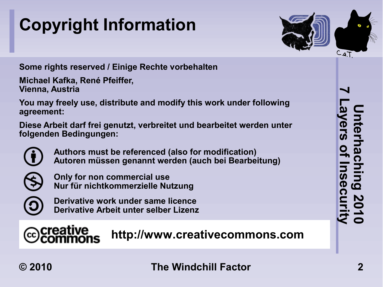## **Copyright Information**



**Some rights reserved / Einige Rechte vorbehalten**

**Michael Kafka, René Pfeiffer, Vienna, Austria**

**You may freely use, distribute and modify this work under following agreement:**

**Diese Arbeit darf frei genutzt, verbreitet und bearbeitet werden unter folgenden Bedingungen:**



**Authors must be referenced (also for modification) Autoren müssen genannt werden (auch bei Bearbeitung)**



**Only for non commercial use Nur für nichtkommerzielle Nutzung**



ccreative

**Derivative work under same licence Derivative Arbeit unter selber Lizenz**

#### **http://www.creativecommons.com**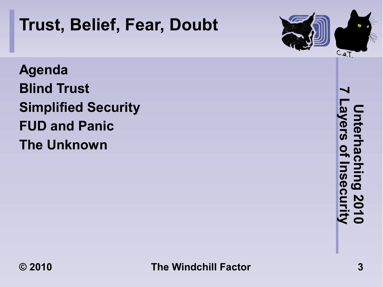

## **Trust, Belief, Fear, Doubt**

**Agenda Blind Trust Simplified Security FUD and Panic The Unknown**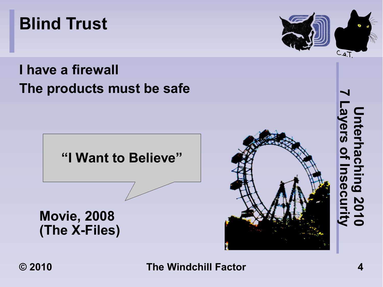**Movie, 2008 (The X-Files)**

**© 2010 The Windchill Factor 4**





#### **I have a firewall The products must be safe**

**"I Want to Believe"**



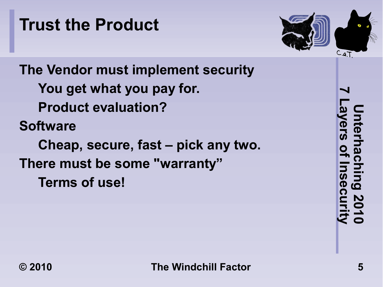## **Trust the Product**



**The Vendor must implement security You get what you pay for. Product evaluation? Software Cheap, secure, fast – pick any two. There must be some "warranty" Terms of use!**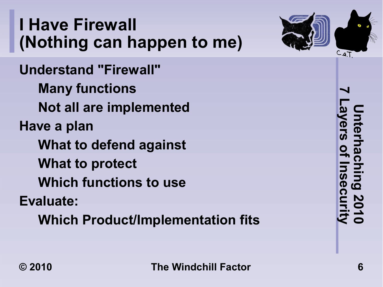### **I Have Firewall (Nothing can happen to me)**

**Understand "Firewall" Many functions Not all are implemented Have a plan What to defend against What to protect Which functions to use Evaluate: Which Product/Implementation fits**



**7 Layers of Insecurity Unterhaching 2010** Interhaching<br>Interhaching <u>၉၄</u> **2010**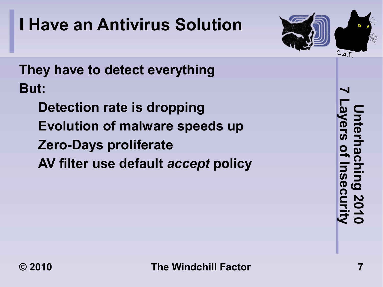## **I Have an Antivirus Solution**



**They have to detect everything But:**

**Detection rate is dropping Evolution of malware speeds up Zero-Days proliferate AV filter use default** *accept* **policy** **7 Layers of Insecurity Unterhaching 2010** nterhacl<br>vers of I lui<br>Q **OC** 2010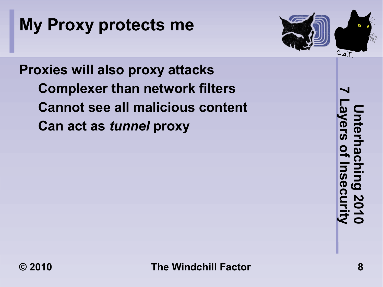## **My Proxy protects me**



**Proxies will also proxy attacks Complexer than network filters Cannot see all malicious content Can act as** *tunnel* **proxy**

**7 Layers of Insecurity Unterhaching 2010** nterhacl<br>vers of I lui<br>Q ဂ္ဂ 2010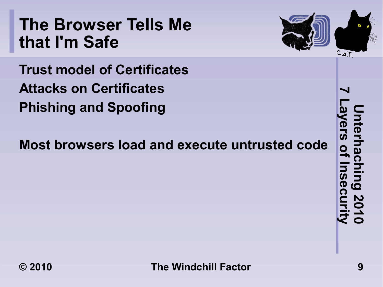#### **The Browser Tells Me that I'm Safe**

**Trust model of Certificates Attacks on Certificates Phishing and Spoofing**

**Most browsers load and execute untrusted code**



**7 Layers of Insecurity Unterhaching 2010** Interhaching<br>Interhaching **Seci** 2010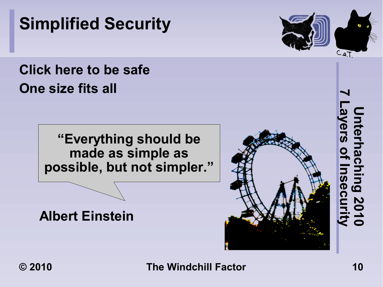**"Everything should be made as simple as possible, but not simpler."**

**Albert Einstein**

#### **Simplified Security**

#### **Click here to be safe One size fits all**

 $C.a.T$ 

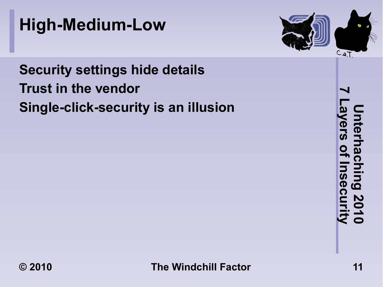



#### **Security settings hide details Trust in the vendor Single-click-security is an illusion**

**7 Layers of Insecurity Unterhaching 2010** Jnterhachi<br>Jnterhachi **Jing Seci 2010**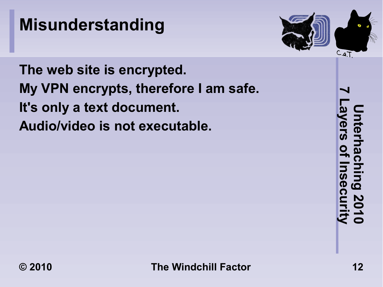## **Misunderstanding**



**The web site is encrypted. My VPN encrypts, therefore I am safe. It's only a text document. Audio/video is not executable.**

**7 Layers of Insecurity Unterhaching 2010** nterhaching<br>vers of Insec စ်<br>ဂ 12010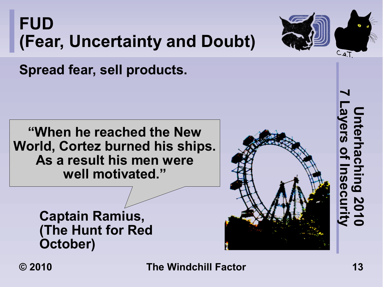**FUD (Fear, Uncertainty and Doubt)**



**Spread fear, sell products.**

**"When he reached the New World, Cortez burned his ships. As a result his men were well motivated."**

> **Captain Ramius, (The Hunt for Red October)**



**© 2010 The Windchill Factor 13**

**Unterhaching 2010**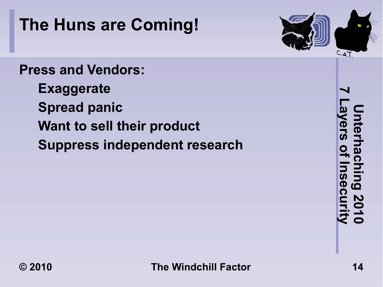## **The Huns are Coming!**

# $C.a.T$

#### **Press and Vendors:**

- **Exaggerate**
- **Spread panic**
- **Want to sell their product**
- **Suppress independent research**

**7 Layers of Insecurity Unterhaching 2010** Jnterhachi<br>Jnterhachi **Ning Seci** 12010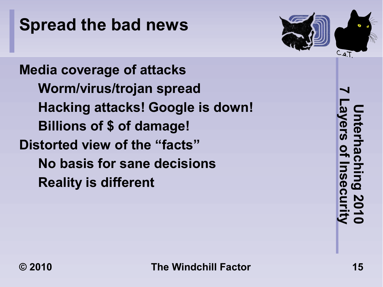## **Spread the bad news**



**Media coverage of attacks Worm/virus/trojan spread Hacking attacks! Google is down! Billions of \$ of damage! Distorted view of the "facts" No basis for sane decisions Reality is different**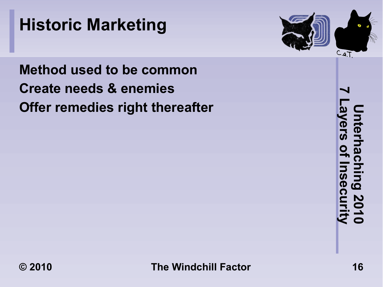#### **Historic Marketing**



**Method used to be common Create needs & enemies Offer remedies right thereafter**

**7 Layers of Insecurity Unterhaching 2010** Jnterhachi<br>Jnterhachi Duil **Seci**  $15010$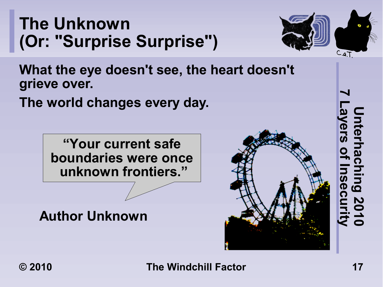#### **The Unknown (Or: "Surprise Surprise")**



**What the eye doesn't see, the heart doesn't grieve over.**

**The world changes every day.**

**"Your current safe boundaries were once unknown frontiers."**

**Author Unknown**



**7 Layers of Insecurity Unterhaching 2010** nterhaching 2010<br>yers of Insecurity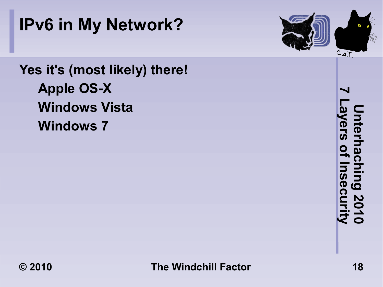



**Yes it's (most likely) there! Apple OS-X Windows Vista Windows 7**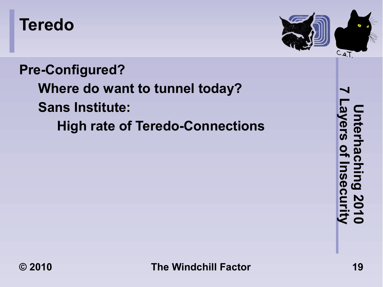#### **Teredo**



**Pre-Configured? Where do want to tunnel today? Sans Institute: High rate of Teredo-Connections**

**7 Layers of Insecurity Unterhaching 2010** Interhaching 2010<br>Iyers of Insecurity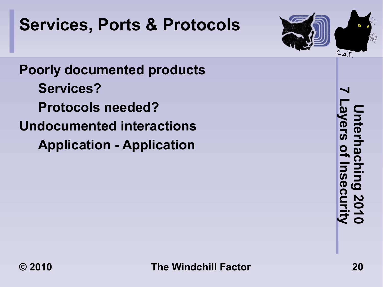## **Services, Ports & Protocols**



**Poorly documented products Services? Protocols needed? Undocumented interactions Application - Application**

**7 Layers of Insecurity Unterhaching 2010** Jnterhach<br>ayers of In **Bull SeCi**  $15010$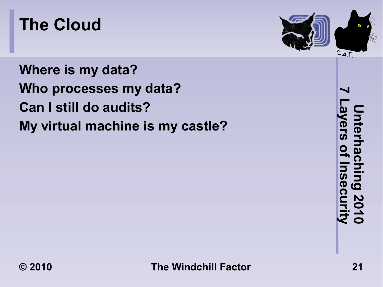#### **The Cloud**

**Where is my data? Who processes my data? Can I still do audits? My virtual machine is my castle?**



**7 Layers of Insecurity Unterhaching 2010** Interhaching<br>Iyers of Insec ing 2010<br>nsecurity